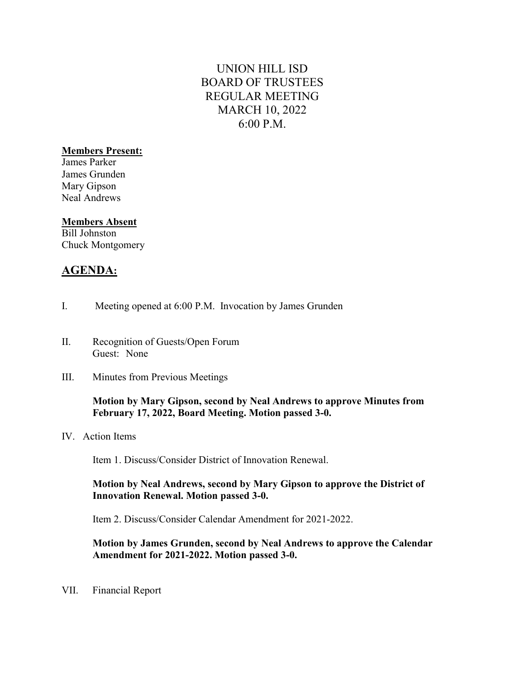# UNION HILL ISD BOARD OF TRUSTEES REGULAR MEETING MARCH 10, 2022 6:00 P.M.

### Members Present:

James Parker James Grunden Mary Gipson Neal Andrews

#### Members Absent

Bill Johnston Chuck Montgomery

## AGENDA:

- I. Meeting opened at 6:00 P.M. Invocation by James Grunden
- II. Recognition of Guests/Open Forum Guest: None
- III. Minutes from Previous Meetings

#### Motion by Mary Gipson, second by Neal Andrews to approve Minutes from February 17, 2022, Board Meeting. Motion passed 3-0.

IV. Action Items

Item 1. Discuss/Consider District of Innovation Renewal.

#### Motion by Neal Andrews, second by Mary Gipson to approve the District of Innovation Renewal. Motion passed 3-0.

Item 2. Discuss/Consider Calendar Amendment for 2021-2022.

#### Motion by James Grunden, second by Neal Andrews to approve the Calendar Amendment for 2021-2022. Motion passed 3-0.

VII. Financial Report